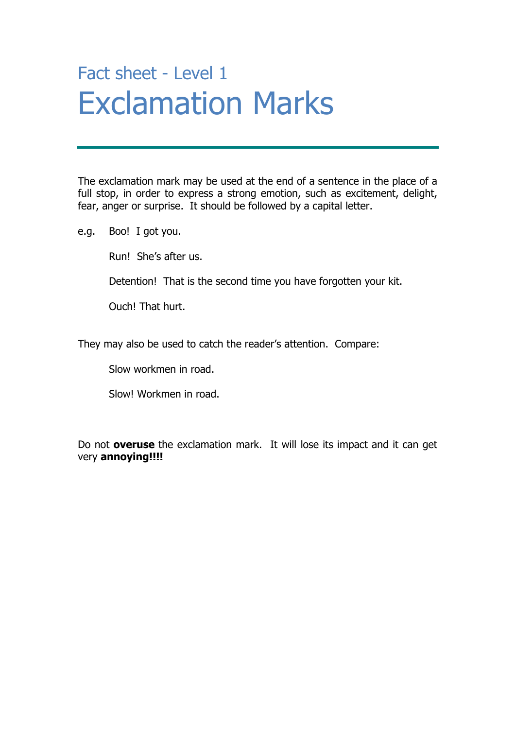## Fact sheet - Level 1 Exclamation Marks

The exclamation mark may be used at the end of a sentence in the place of a full stop, in order to express a strong emotion, such as excitement, delight, fear, anger or surprise. It should be followed by a capital letter.

e.g. Boo! I got you.

Run! She's after us.

Detention! That is the second time you have forgotten your kit.

Ouch! That hurt.

They may also be used to catch the reader's attention. Compare:

Slow workmen in road.

Slow! Workmen in road.

Do not **overuse** the exclamation mark. It will lose its impact and it can get very **annoying!!!!**